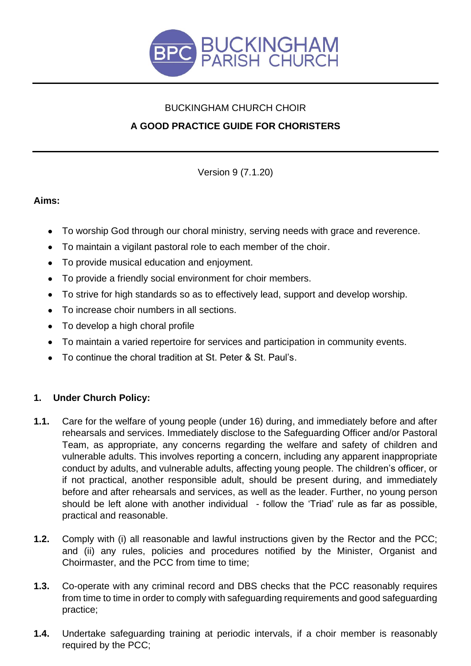

# BUCKINGHAM CHURCH CHOIR **A GOOD PRACTICE GUIDE FOR CHORISTERS**

Version 9 (7.1.20)

# **Aims:**

- To worship God through our choral ministry, serving needs with grace and reverence.
- To maintain a vigilant pastoral role to each member of the choir.
- To provide musical education and enjoyment.
- To provide a friendly social environment for choir members.
- To strive for high standards so as to effectively lead, support and develop worship.
- To increase choir numbers in all sections.
- To develop a high choral profile
- To maintain a varied repertoire for services and participation in community events.
- To continue the choral tradition at St. Peter & St. Paul's.

# **1. Under Church Policy:**

- **1.1.** Care for the welfare of young people (under 16) during, and immediately before and after rehearsals and services. Immediately disclose to the Safeguarding Officer and/or Pastoral Team, as appropriate, any concerns regarding the welfare and safety of children and vulnerable adults. This involves reporting a concern, including any apparent inappropriate conduct by adults, and vulnerable adults, affecting young people. The children's officer, or if not practical, another responsible adult, should be present during, and immediately before and after rehearsals and services, as well as the leader. Further, no young person should be left alone with another individual - follow the 'Triad' rule as far as possible, practical and reasonable.
- **1.2.** Comply with (i) all reasonable and lawful instructions given by the Rector and the PCC; and (ii) any rules, policies and procedures notified by the Minister, Organist and Choirmaster, and the PCC from time to time;
- **1.3.** Co-operate with any criminal record and DBS checks that the PCC reasonably requires from time to time in order to comply with safeguarding requirements and good safeguarding practice;
- **1.4.** Undertake safeguarding training at periodic intervals, if a choir member is reasonably required by the PCC;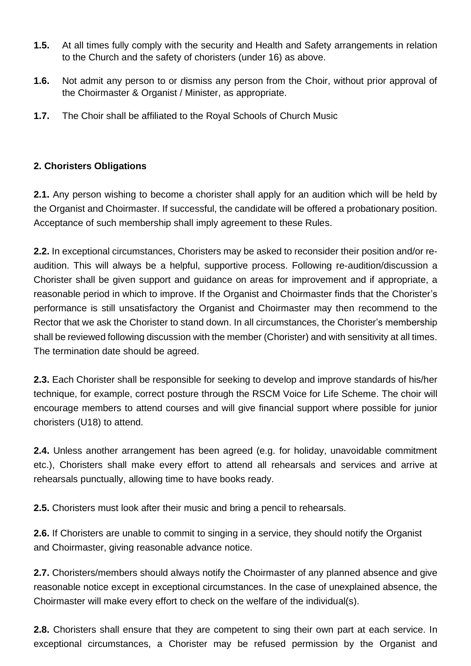- **1.5.** At all times fully comply with the security and Health and Safety arrangements in relation to the Church and the safety of choristers (under 16) as above.
- **1.6.** Not admit any person to or dismiss any person from the Choir, without prior approval of the Choirmaster & Organist / Minister, as appropriate.
- **1.7.** The Choir shall be affiliated to the Royal Schools of Church Music

## **2. Choristers Obligations**

**2.1.** Any person wishing to become a chorister shall apply for an audition which will be held by the Organist and Choirmaster. If successful, the candidate will be offered a probationary position. Acceptance of such membership shall imply agreement to these Rules.

**2.2.** In exceptional circumstances, Choristers may be asked to reconsider their position and/or reaudition. This will always be a helpful, supportive process. Following re-audition/discussion a Chorister shall be given support and guidance on areas for improvement and if appropriate, a reasonable period in which to improve. If the Organist and Choirmaster finds that the Chorister's performance is still unsatisfactory the Organist and Choirmaster may then recommend to the Rector that we ask the Chorister to stand down. In all circumstances, the Chorister's membership shall be reviewed following discussion with the member (Chorister) and with sensitivity at all times. The termination date should be agreed.

**2.3.** Each Chorister shall be responsible for seeking to develop and improve standards of his/her technique, for example, correct posture through the RSCM Voice for Life Scheme. The choir will encourage members to attend courses and will give financial support where possible for junior choristers (U18) to attend.

**2.4.** Unless another arrangement has been agreed (e.g. for holiday, unavoidable commitment etc.), Choristers shall make every effort to attend all rehearsals and services and arrive at rehearsals punctually, allowing time to have books ready.

**2.5.** Choristers must look after their music and bring a pencil to rehearsals.

**2.6.** If Choristers are unable to commit to singing in a service, they should notify the Organist and Choirmaster, giving reasonable advance notice.

**2.7.** Choristers/members should always notify the Choirmaster of any planned absence and give reasonable notice except in exceptional circumstances. In the case of unexplained absence, the Choirmaster will make every effort to check on the welfare of the individual(s).

**2.8.** Choristers shall ensure that they are competent to sing their own part at each service. In exceptional circumstances, a Chorister may be refused permission by the Organist and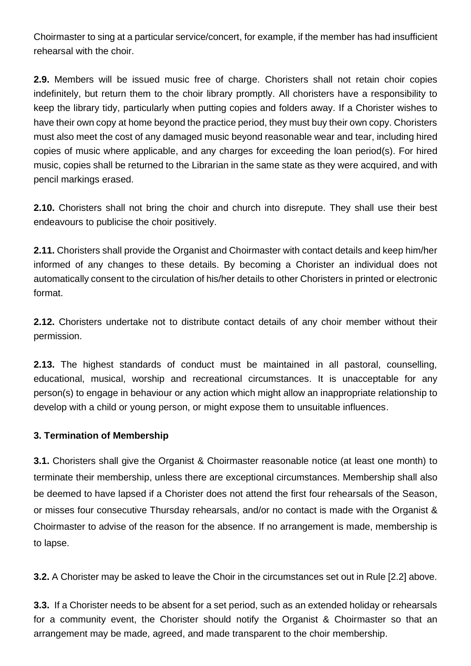Choirmaster to sing at a particular service/concert, for example, if the member has had insufficient rehearsal with the choir.

**2.9.** Members will be issued music free of charge. Choristers shall not retain choir copies indefinitely, but return them to the choir library promptly. All choristers have a responsibility to keep the library tidy, particularly when putting copies and folders away. If a Chorister wishes to have their own copy at home beyond the practice period, they must buy their own copy. Choristers must also meet the cost of any damaged music beyond reasonable wear and tear, including hired copies of music where applicable, and any charges for exceeding the loan period(s). For hired music, copies shall be returned to the Librarian in the same state as they were acquired, and with pencil markings erased.

**2.10.** Choristers shall not bring the choir and church into disrepute. They shall use their best endeavours to publicise the choir positively.

**2.11.** Choristers shall provide the Organist and Choirmaster with contact details and keep him/her informed of any changes to these details. By becoming a Chorister an individual does not automatically consent to the circulation of his/her details to other Choristers in printed or electronic format.

**2.12.** Choristers undertake not to distribute contact details of any choir member without their permission.

**2.13.** The highest standards of conduct must be maintained in all pastoral, counselling, educational, musical, worship and recreational circumstances. It is unacceptable for any person(s) to engage in behaviour or any action which might allow an inappropriate relationship to develop with a child or young person, or might expose them to unsuitable influences.

#### **3. Termination of Membership**

**3.1.** Choristers shall give the Organist & Choirmaster reasonable notice (at least one month) to terminate their membership, unless there are exceptional circumstances. Membership shall also be deemed to have lapsed if a Chorister does not attend the first four rehearsals of the Season, or misses four consecutive Thursday rehearsals, and/or no contact is made with the Organist & Choirmaster to advise of the reason for the absence. If no arrangement is made, membership is to lapse.

**3.2.** A Chorister may be asked to leave the Choir in the circumstances set out in Rule [2.2] above.

**3.3.** If a Chorister needs to be absent for a set period, such as an extended holiday or rehearsals for a community event, the Chorister should notify the Organist & Choirmaster so that an arrangement may be made, agreed, and made transparent to the choir membership.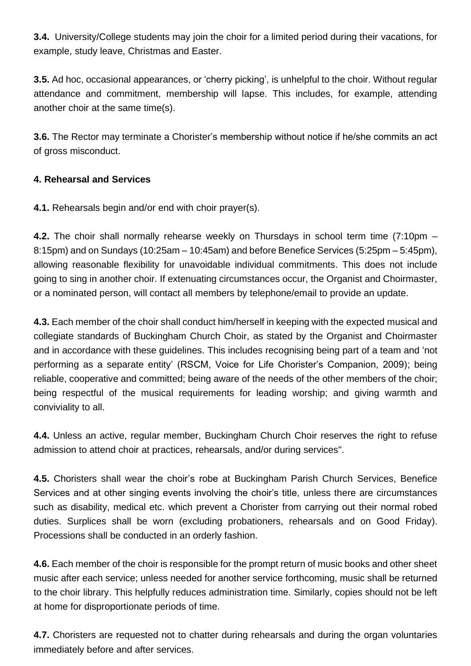**3.4.** University/College students may join the choir for a limited period during their vacations, for example, study leave, Christmas and Easter.

**3.5.** Ad hoc, occasional appearances, or 'cherry picking', is unhelpful to the choir. Without regular attendance and commitment, membership will lapse. This includes, for example, attending another choir at the same time(s).

**3.6.** The Rector may terminate a Chorister's membership without notice if he/she commits an act of gross misconduct.

## **4. Rehearsal and Services**

**4.1.** Rehearsals begin and/or end with choir prayer(s).

**4.2.** The choir shall normally rehearse weekly on Thursdays in school term time (7:10pm – 8:15pm) and on Sundays (10:25am – 10:45am) and before Benefice Services (5:25pm – 5:45pm), allowing reasonable flexibility for unavoidable individual commitments. This does not include going to sing in another choir. If extenuating circumstances occur, the Organist and Choirmaster, or a nominated person, will contact all members by telephone/email to provide an update.

**4.3.** Each member of the choir shall conduct him/herself in keeping with the expected musical and collegiate standards of Buckingham Church Choir, as stated by the Organist and Choirmaster and in accordance with these guidelines. This includes recognising being part of a team and 'not performing as a separate entity' (RSCM, Voice for Life Chorister's Companion, 2009); being reliable, cooperative and committed; being aware of the needs of the other members of the choir; being respectful of the musical requirements for leading worship; and giving warmth and conviviality to all.

**4.4.** Unless an active, regular member, Buckingham Church Choir reserves the right to refuse admission to attend choir at practices, rehearsals, and/or during services".

**4.5.** Choristers shall wear the choir's robe at Buckingham Parish Church Services, Benefice Services and at other singing events involving the choir's title, unless there are circumstances such as disability, medical etc. which prevent a Chorister from carrying out their normal robed duties. Surplices shall be worn (excluding probationers, rehearsals and on Good Friday). Processions shall be conducted in an orderly fashion.

**4.6.** Each member of the choir is responsible for the prompt return of music books and other sheet music after each service; unless needed for another service forthcoming, music shall be returned to the choir library. This helpfully reduces administration time. Similarly, copies should not be left at home for disproportionate periods of time.

**4.7.** Choristers are requested not to chatter during rehearsals and during the organ voluntaries immediately before and after services.